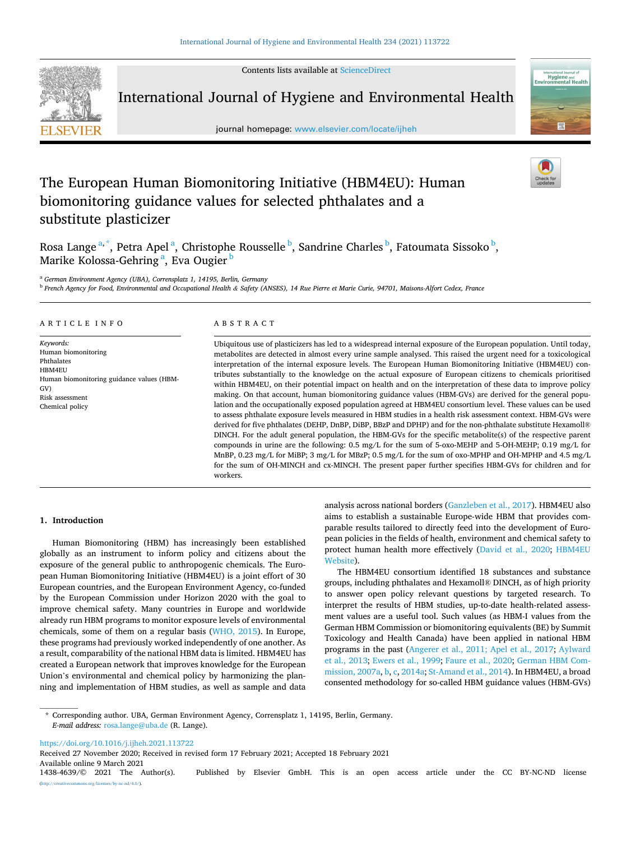Contents lists available at [ScienceDirect](www.sciencedirect.com/science/journal/14384639)



International Journal of Hygiene and Environmental Health

journal homepage: [www.elsevier.com/locate/ijheh](https://www.elsevier.com/locate/ijheh) 



# The European Human Biomonitoring Initiative (HBM4EU): Human biomonitoring guidance values for selected phthalates and a substitute plasticizer

Rosa Lange<sup>a,\*</sup>, Petra Apel<sup>a</sup>, Christophe Rousselle <sup>b</sup>, Sandrine Charles <sup>b</sup>, Fatoumata Sissoko <sup>b</sup>, Marike Kolossa-Gehring <sup>a</sup>, Eva Ougier <sup>b</sup>

<sup>a</sup> *German Environment Agency (UBA), Corrensplatz 1, 14195, Berlin, Germany* 

<sup>b</sup> *French Agency for Food, Environmental and Occupational Health & Safety (ANSES), 14 Rue Pierre et Marie Curie, 94701, Maisons-Alfort Cedex, France* 

## ARTICLE INFO

*Keywords:*  Human biomonitoring Phthalates HBM4EU Human biomonitoring guidance values (HBM-GV) Risk assessment Chemical policy

## ABSTRACT

Ubiquitous use of plasticizers has led to a widespread internal exposure of the European population. Until today, metabolites are detected in almost every urine sample analysed. This raised the urgent need for a toxicological interpretation of the internal exposure levels. The European Human Biomonitoring Initiative (HBM4EU) contributes substantially to the knowledge on the actual exposure of European citizens to chemicals prioritised within HBM4EU, on their potential impact on health and on the interpretation of these data to improve policy making. On that account, human biomonitoring guidance values (HBM-GVs) are derived for the general population and the occupationally exposed population agreed at HBM4EU consortium level. These values can be used to assess phthalate exposure levels measured in HBM studies in a health risk assessment context. HBM-GVs were derived for five phthalates (DEHP, DnBP, DiBP, BBzP and DPHP) and for the non-phthalate substitute Hexamoll® DINCH. For the adult general population, the HBM-GVs for the specific metabolite(s) of the respective parent compounds in urine are the following: 0.5 mg/L for the sum of 5-oxo-MEHP and 5-OH-MEHP; 0.19 mg/L for MnBP, 0.23 mg/L for MiBP; 3 mg/L for MBzP; 0.5 mg/L for the sum of oxo-MPHP and OH-MPHP and 4.5 mg/L for the sum of OH-MINCH and cx-MINCH. The present paper further specifies HBM-GVs for children and for workers.

#### **1. Introduction**

Human Biomonitoring (HBM) has increasingly been established globally as an instrument to inform policy and citizens about the exposure of the general public to anthropogenic chemicals. The European Human Biomonitoring Initiative (HBM4EU) is a joint effort of 30 European countries, and the European Environment Agency, co-funded by the European Commission under Horizon 2020 with the goal to improve chemical safety. Many countries in Europe and worldwide already run HBM programs to monitor exposure levels of environmental chemicals, some of them on a regular basis ([WHO, 2015\)](#page-7-0). In Europe, these programs had previously worked independently of one another. As a result, comparability of the national HBM data is limited. HBM4EU has created a European network that improves knowledge for the European Union's environmental and chemical policy by harmonizing the planning and implementation of HBM studies, as well as sample and data

analysis across national borders [\(Ganzleben et al., 2017\)](#page-6-0). HBM4EU also aims to establish a sustainable Europe-wide HBM that provides comparable results tailored to directly feed into the development of European policies in the fields of health, environment and chemical safety to protect human health more effectively [\(David et al., 2020](#page-5-0); [HBM4EU](#page-6-0)  [Website\)](#page-6-0).

The HBM4EU consortium identified 18 substances and substance groups, including phthalates and Hexamoll® DINCH, as of high priority to answer open policy relevant questions by targeted research. To interpret the results of HBM studies, up-to-date health-related assessment values are a useful tool. Such values (as HBM-I values from the German HBM Commission or biomonitoring equivalents (BE) by Summit Toxicology and Health Canada) have been applied in national HBM programs in the past [\(Angerer et al., 2011; Apel et al., 2017;](#page-5-0) [Aylward](#page-5-0)  [et al., 2013](#page-5-0); [Ewers et al., 1999;](#page-6-0) [Faure et al., 2020; German HBM Com](#page-6-0)[mission, 2007a](#page-6-0), [b](#page-6-0), [c](#page-6-0), [2014a;](#page-6-0) [St-Amand et al., 2014\)](#page-7-0). In HBM4EU, a broad consented methodology for so-called HBM guidance values (HBM-GVs)

<https://doi.org/10.1016/j.ijheh.2021.113722>

Available online 9 March 2021<br>1438-4639/© 2021 The Author(s). Published by Elsevier GmbH. This is an open access article under the CC BY-NC-ND license  $\frac{\text{uses}}{\text{by-nc-nd}/4.0}$ . Received 27 November 2020; Received in revised form 17 February 2021; Accepted 18 February 2021

<sup>\*</sup> Corresponding author. UBA, German Environment Agency, Corrensplatz 1, 14195, Berlin, Germany. *E-mail address:* [rosa.lange@uba.de](mailto:rosa.lange@uba.de) (R. Lange).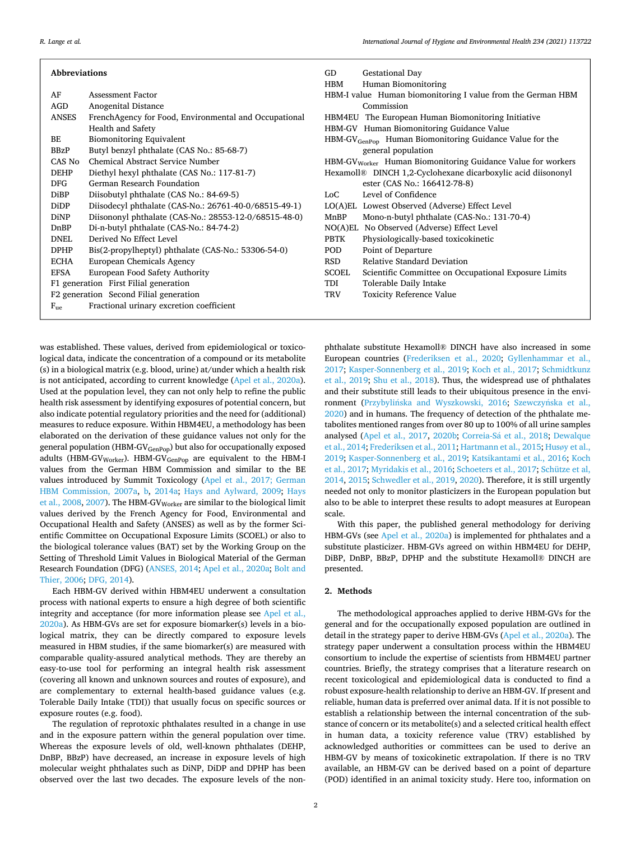| <b>Abbreviations</b>                   |                                                       | GD           | <b>Gestational Day</b>                                                   |
|----------------------------------------|-------------------------------------------------------|--------------|--------------------------------------------------------------------------|
|                                        |                                                       | HBM          | Human Biomonitoring                                                      |
| AF<br><b>Assessment Factor</b>         |                                                       |              | HBM-I value Human biomonitoring I value from the German HBM              |
| Anogenital Distance<br>AGD             |                                                       |              | Commission                                                               |
| <b>ANSES</b>                           | FrenchAgency for Food, Environmental and Occupational |              | HBM4EU The European Human Biomonitoring Initiative                       |
| <b>Health and Safety</b>               |                                                       |              | HBM-GV Human Biomonitoring Guidance Value                                |
| BE                                     | <b>Biomonitoring Equivalent</b>                       |              | $HBM-GV_{GenPop}$ Human Biomonitoring Guidance Value for the             |
| BBzP                                   | Butyl benzyl phthalate (CAS No.: 85-68-7)             |              | general population                                                       |
| CAS No                                 | <b>Chemical Abstract Service Number</b>               |              | HBM-GV <sub>Worker</sub> Human Biomonitoring Guidance Value for workers  |
| <b>DEHP</b>                            | Diethyl hexyl phthalate (CAS No.: 117-81-7)           |              | Hexamoll <sup>®</sup> DINCH 1,2-Cyclohexane dicarboxylic acid diisononyl |
| <b>DFG</b>                             | German Research Foundation                            |              | ester (CAS No.: 166412-78-8)                                             |
| <b>DiBP</b>                            | Diisobutyl phthalate (CAS No.: 84-69-5)               | LoC.         | Level of Confidence                                                      |
| <b>DiDP</b>                            | Diisodecyl phthalate (CAS-No.: 26761-40-0/68515-49-1) |              | LO(A)EL Lowest Observed (Adverse) Effect Level                           |
| <b>DiNP</b>                            | Diisononyl phthalate (CAS-No.: 28553-12-0/68515-48-0) | MnBP         | Mono-n-butyl phthalate (CAS-No.: 131-70-4)                               |
| DnBP                                   | Di-n-butyl phthalate (CAS-No.: 84-74-2)               |              | NO(A)EL No Observed (Adverse) Effect Level                               |
| Derived No Effect Level<br><b>DNEL</b> |                                                       | <b>PBTK</b>  | Physiologically-based toxicokinetic                                      |
| <b>DPHP</b>                            | Bis(2-propylheptyl) phthalate (CAS-No.: 53306-54-0)   | POD          | Point of Departure                                                       |
| <b>ECHA</b>                            | European Chemicals Agency                             | RSD.         | <b>Relative Standard Deviation</b>                                       |
| <b>EFSA</b>                            | European Food Safety Authority                        | <b>SCOEL</b> | Scientific Committee on Occupational Exposure Limits                     |
| F1 generation First Filial generation  |                                                       | TDI          | Tolerable Daily Intake                                                   |
| F2 generation Second Filial generation |                                                       | <b>TRV</b>   | <b>Toxicity Reference Value</b>                                          |
| $F_{11e}$                              | Fractional urinary excretion coefficient              |              |                                                                          |

was established. These values, derived from epidemiological or toxicological data, indicate the concentration of a compound or its metabolite (s) in a biological matrix (e.g. blood, urine) at/under which a health risk is not anticipated, according to current knowledge ([Apel et al., 2020a](#page-5-0)). Used at the population level, they can not only help to refine the public health risk assessment by identifying exposures of potential concern, but also indicate potential regulatory priorities and the need for (additional) measures to reduce exposure. Within HBM4EU, a methodology has been elaborated on the derivation of these guidance values not only for the general population (HBM-GV<sub>GenPop</sub>) but also for occupationally exposed adults (HBM-GV<sub>Worker</sub>). HBM-GV<sub>GenPop</sub> are equivalent to the HBM-I values from the German HBM Commission and similar to the BE values introduced by Summit Toxicology [\(Apel et al., 2017; German](#page-5-0)  [HBM Commission, 2007a,](#page-5-0) [b](#page-6-0), [2014a](#page-6-0); [Hays and Aylward, 2009](#page-6-0); [Hays](#page-6-0)  [et al., 2008, 2007](#page-6-0)). The HBM-GV<sub>Worker</sub> are similar to the biological limit values derived by the French Agency for Food, Environmental and Occupational Health and Safety (ANSES) as well as by the former Scientific Committee on Occupational Exposure Limits (SCOEL) or also to the biological tolerance values (BAT) set by the Working Group on the Setting of Threshold Limit Values in Biological Material of the German Research Foundation (DFG) ([ANSES, 2014](#page-5-0); [Apel et al., 2020a](#page-5-0); [Bolt and](#page-5-0)  [Thier, 2006;](#page-5-0) [DFG, 2014\)](#page-5-0).

Each HBM-GV derived within HBM4EU underwent a consultation process with national experts to ensure a high degree of both scientific integrity and acceptance (for more information please see [Apel et al.,](#page-5-0)  [2020a\)](#page-5-0). As HBM-GVs are set for exposure biomarker(s) levels in a biological matrix, they can be directly compared to exposure levels measured in HBM studies, if the same biomarker(s) are measured with comparable quality-assured analytical methods. They are thereby an easy-to-use tool for performing an integral health risk assessment (covering all known and unknown sources and routes of exposure), and are complementary to external health-based guidance values (e.g. Tolerable Daily Intake (TDI)) that usually focus on specific sources or exposure routes (e.g. food).

The regulation of reprotoxic phthalates resulted in a change in use and in the exposure pattern within the general population over time. Whereas the exposure levels of old, well-known phthalates (DEHP, DnBP, BBzP) have decreased, an increase in exposure levels of high molecular weight phthalates such as DiNP, DiDP and DPHP has been observed over the last two decades. The exposure levels of the non-

phthalate substitute Hexamoll® DINCH have also increased in some European countries ([Frederiksen et al., 2020](#page-6-0); [Gyllenhammar et al.,](#page-6-0)  [2017; Kasper-Sonnenberg et al., 2019;](#page-6-0) [Koch et al., 2017;](#page-6-0) [Schmidtkunz](#page-6-0)  [et al., 2019;](#page-6-0) [Shu et al., 2018\)](#page-7-0). Thus, the widespread use of phthalates and their substitute still leads to their ubiquitous presence in the environment (Przybylińska [and Wyszkowski, 2016;](#page-6-0) Szewczyńska et al., [2020\)](#page-7-0) and in humans. The frequency of detection of the phthalate metabolites mentioned ranges from over 80 up to 100% of all urine samples analysed [\(Apel et al., 2017,](#page-5-0) [2020b](#page-5-0); Correia-Sá et al., 2018; Dewalque [et al., 2014](#page-5-0); [Frederiksen et al., 2011; Hartmann et al., 2015](#page-6-0); Husø[y et al.,](#page-6-0)  [2019; Kasper-Sonnenberg et al., 2019;](#page-6-0) [Katsikantami et al., 2016](#page-6-0); [Koch](#page-6-0)  [et al., 2017](#page-6-0); [Myridakis et al., 2016](#page-6-0); [Schoeters et al., 2017; Schütze et al,](#page-6-0)  [2014, 2015; Schwedler et al., 2019,](#page-6-0) [2020\)](#page-7-0). Therefore, it is still urgently needed not only to monitor plasticizers in the European population but also to be able to interpret these results to adopt measures at European scale.

With this paper, the published general methodology for deriving HBM-GVs (see [Apel et al., 2020a](#page-5-0)) is implemented for phthalates and a substitute plasticizer. HBM-GVs agreed on within HBM4EU for DEHP, DiBP, DnBP, BBzP, DPHP and the substitute Hexamoll® DINCH are presented.

# **2. Methods**

The methodological approaches applied to derive HBM-GVs for the general and for the occupationally exposed population are outlined in detail in the strategy paper to derive HBM-GVs [\(Apel et al., 2020a](#page-5-0)). The strategy paper underwent a consultation process within the HBM4EU consortium to include the expertise of scientists from HBM4EU partner countries. Briefly, the strategy comprises that a literature research on recent toxicological and epidemiological data is conducted to find a robust exposure-health relationship to derive an HBM-GV. If present and reliable, human data is preferred over animal data. If it is not possible to establish a relationship between the internal concentration of the substance of concern or its metabolite(s) and a selected critical health effect in human data, a toxicity reference value (TRV) established by acknowledged authorities or committees can be used to derive an HBM-GV by means of toxicokinetic extrapolation. If there is no TRV available, an HBM-GV can be derived based on a point of departure (POD) identified in an animal toxicity study. Here too, information on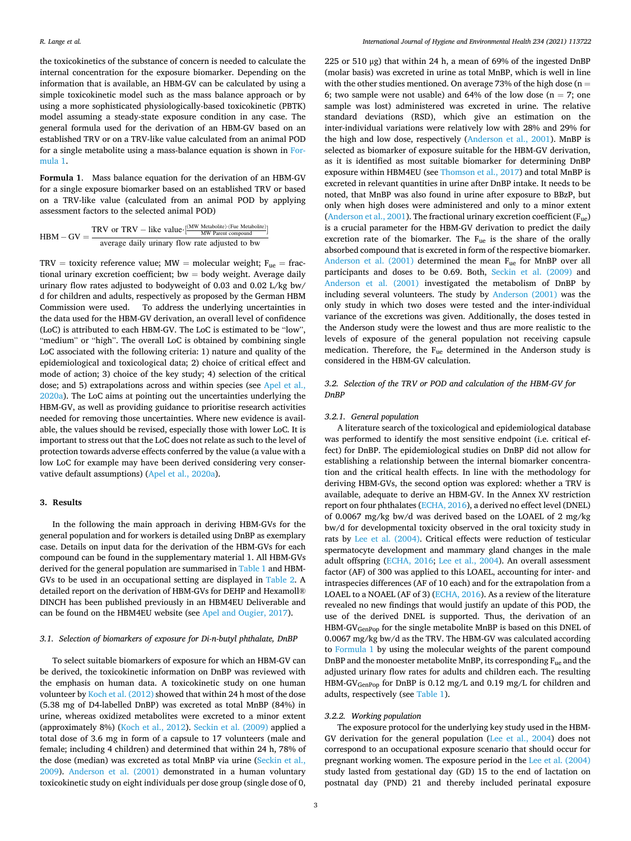the toxicokinetics of the substance of concern is needed to calculate the internal concentration for the exposure biomarker. Depending on the information that is available, an HBM-GV can be calculated by using a simple toxicokinetic model such as the mass balance approach or by using a more sophisticated physiologically-based toxicokinetic (PBTK) model assuming a steady-state exposure condition in any case. The general formula used for the derivation of an HBM-GV based on an established TRV or on a TRV-like value calculated from an animal POD for a single metabolite using a mass-balance equation is shown in Formula 1.

**Formula 1**. Mass balance equation for the derivation of an HBM-GV for a single exposure biomarker based on an established TRV or based on a TRV-like value (calculated from an animal POD by applying assessment factors to the selected animal POD)

$$
HBM-GV = \frac{TRV \text{ or } TRV - like value \cdot \frac{[MW \text{ Metabolic}) \cdot [Five Metabolic)]}{MW \text{ Part compound}}
$$
  
average daily urinary flow rate adjusted to bw

TRV = toxicity reference value; MW = molecular weight;  $F_{ue}$  = fractional urinary excretion coefficient;  $bw = body$  weight. Average daily urinary flow rates adjusted to bodyweight of 0.03 and 0.02 L/kg bw/ d for children and adults, respectively as proposed by the German HBM Commission were used. To address the underlying uncertainties in the data used for the HBM-GV derivation, an overall level of confidence (LoC) is attributed to each HBM-GV. The LoC is estimated to be "low", "medium" or "high". The overall LoC is obtained by combining single LoC associated with the following criteria: 1) nature and quality of the epidemiological and toxicological data; 2) choice of critical effect and mode of action; 3) choice of the key study; 4) selection of the critical dose; and 5) extrapolations across and within species (see [Apel et al.,](#page-5-0)  [2020a\)](#page-5-0). The LoC aims at pointing out the uncertainties underlying the HBM-GV, as well as providing guidance to prioritise research activities needed for removing those uncertainties. Where new evidence is available, the values should be revised, especially those with lower LoC. It is important to stress out that the LoC does not relate as such to the level of protection towards adverse effects conferred by the value (a value with a low LoC for example may have been derived considering very conservative default assumptions) [\(Apel et al., 2020a](#page-5-0)).

## **3. Results**

In the following the main approach in deriving HBM-GVs for the general population and for workers is detailed using DnBP as exemplary case. Details on input data for the derivation of the HBM-GVs for each compound can be found in the supplementary material 1. All HBM-GVs derived for the general population are summarised in [Table 1](#page-3-0) and HBM-GVs to be used in an occupational setting are displayed in [Table 2](#page-3-0). A detailed report on the derivation of HBM-GVs for DEHP and Hexamoll® DINCH has been published previously in an HBM4EU Deliverable and can be found on the HBM4EU website (see [Apel and Ougier, 2017\)](#page-5-0).

## *3.1. Selection of biomarkers of exposure for Di-n-butyl phthalate, DnBP*

To select suitable biomarkers of exposure for which an HBM-GV can be derived, the toxicokinetic information on DnBP was reviewed with the emphasis on human data. A toxicokinetic study on one human volunteer by [Koch et al. \(2012\)](#page-6-0) showed that within 24 h most of the dose (5.38 mg of D4-labelled DnBP) was excreted as total MnBP (84%) in urine, whereas oxidized metabolites were excreted to a minor extent (approximately 8%) [\(Koch et al., 2012](#page-6-0)). [Seckin et al. \(2009\)](#page-7-0) applied a total dose of 3.6 mg in form of a capsule to 17 volunteers (male and female; including 4 children) and determined that within 24 h, 78% of the dose (median) was excreted as total MnBP via urine ([Seckin et al.,](#page-7-0)  [2009\)](#page-7-0). [Anderson et al. \(2001\)](#page-5-0) demonstrated in a human voluntary toxicokinetic study on eight individuals per dose group (single dose of 0,

225 or 510 μg) that within 24 h, a mean of 69% of the ingested DnBP (molar basis) was excreted in urine as total MnBP, which is well in line with the other studies mentioned. On average 73% of the high dose ( $n =$ 6; two sample were not usable) and 64% of the low dose ( $n = 7$ ; one sample was lost) administered was excreted in urine. The relative standard deviations (RSD), which give an estimation on the inter-individual variations were relatively low with 28% and 29% for the high and low dose, respectively [\(Anderson et al., 2001\)](#page-5-0). MnBP is selected as biomarker of exposure suitable for the HBM-GV derivation, as it is identified as most suitable biomarker for determining DnBP exposure within HBM4EU (see [Thomson et al., 2017](#page-7-0)) and total MnBP is excreted in relevant quantities in urine after DnBP intake. It needs to be noted, that MnBP was also found in urine after exposure to BBzP, but only when high doses were administered and only to a minor extent ([Anderson et al., 2001](#page-5-0)). The fractional urinary excretion coefficient (Fue) is a crucial parameter for the HBM-GV derivation to predict the daily excretion rate of the biomarker. The Fue is the share of the orally absorbed compound that is excreted in form of the respective biomarker. Anderson et al.  $(2001)$  determined the mean  $F_{ue}$  for MnBP over all participants and doses to be 0.69. Both, [Seckin et al. \(2009\)](#page-7-0) and [Anderson et al. \(2001\)](#page-5-0) investigated the metabolism of DnBP by including several volunteers. The study by [Anderson \(2001\)](#page-5-0) was the only study in which two doses were tested and the inter-individual variance of the excretions was given. Additionally, the doses tested in the Anderson study were the lowest and thus are more realistic to the levels of exposure of the general population not receiving capsule medication. Therefore, the Fue determined in the Anderson study is considered in the HBM-GV calculation.

## *3.2. Selection of the TRV or POD and calculation of the HBM-GV for DnBP*

## *3.2.1. General population*

A literature search of the toxicological and epidemiological database was performed to identify the most sensitive endpoint (i.e. critical effect) for DnBP. The epidemiological studies on DnBP did not allow for establishing a relationship between the internal biomarker concentration and the critical health effects. In line with the methodology for deriving HBM-GVs, the second option was explored: whether a TRV is available, adequate to derive an HBM-GV. In the Annex XV restriction report on four phthalates ([ECHA, 2016\)](#page-5-0), a derived no effect level (DNEL) of 0.0067 mg/kg bw/d was derived based on the LOAEL of 2 mg/kg bw/d for developmental toxicity observed in the oral toxicity study in rats by [Lee et al. \(2004\)](#page-6-0). Critical effects were reduction of testicular spermatocyte development and mammary gland changes in the male adult offspring [\(ECHA, 2016](#page-5-0); [Lee et al., 2004\)](#page-6-0). An overall assessment factor (AF) of 300 was applied to this LOAEL, accounting for inter- and intraspecies differences (AF of 10 each) and for the extrapolation from a LOAEL to a NOAEL (AF of 3) ([ECHA, 2016\)](#page-5-0). As a review of the literature revealed no new findings that would justify an update of this POD, the use of the derived DNEL is supported. Thus, the derivation of an HBM-GVGenPop for the single metabolite MnBP is based on this DNEL of 0.0067 mg/kg bw/d as the TRV. The HBM-GV was calculated according to Formula 1 by using the molecular weights of the parent compound DnBP and the monoester metabolite MnBP, its corresponding  $F_{ue}$  and the adjusted urinary flow rates for adults and children each. The resulting HBM-GV<sub>GenPop</sub> for DnBP is 0.12 mg/L and 0.19 mg/L for children and adults, respectively (see [Table 1\)](#page-3-0).

#### *3.2.2. Working population*

The exposure protocol for the underlying key study used in the HBM-GV derivation for the general population ([Lee et al., 2004](#page-6-0)) does not correspond to an occupational exposure scenario that should occur for pregnant working women. The exposure period in the [Lee et al. \(2004\)](#page-6-0)  study lasted from gestational day (GD) 15 to the end of lactation on postnatal day (PND) 21 and thereby included perinatal exposure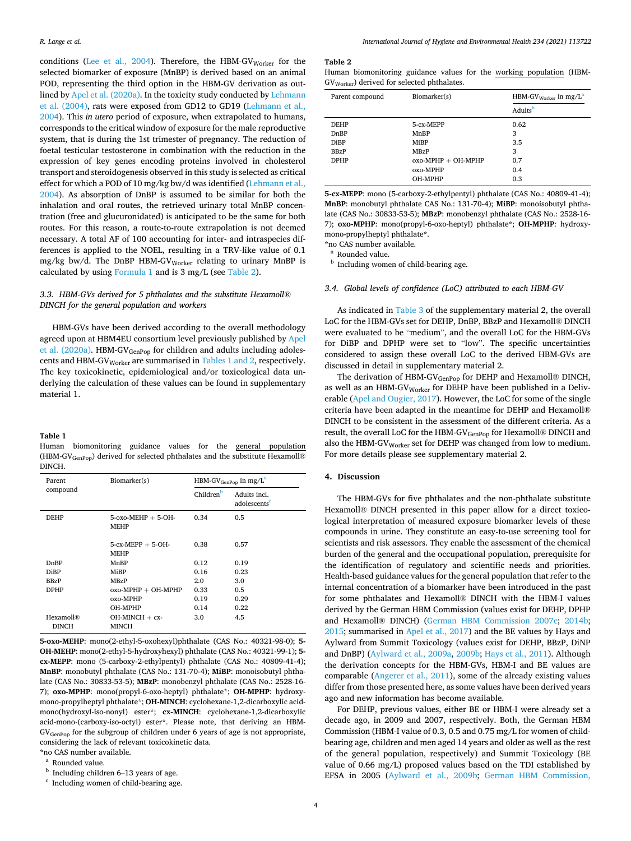<span id="page-3-0"></span>conditions ([Lee et al., 2004](#page-6-0)). Therefore, the HBM-GV<sub>Worker</sub> for the selected biomarker of exposure (MnBP) is derived based on an animal POD, representing the third option in the HBM-GV derivation as outlined by [Apel et al. \(2020a\)](#page-5-0). In the toxicity study conducted by [Lehmann](#page-6-0)  [et al. \(2004\)](#page-6-0), rats were exposed from GD12 to GD19 ([Lehmann et al.,](#page-6-0)  [2004\)](#page-6-0). This *in utero* period of exposure, when extrapolated to humans, corresponds to the critical window of exposure for the male reproductive system, that is during the 1st trimester of pregnancy. The reduction of foetal testicular testosterone in combination with the reduction in the expression of key genes encoding proteins involved in cholesterol transport and steroidogenesis observed in this study is selected as critical effect for which a POD of 10 mg/kg bw/d was identified [\(Lehmann et al.,](#page-6-0)  [2004\)](#page-6-0). As absorption of DnBP is assumed to be similar for both the inhalation and oral routes, the retrieved urinary total MnBP concentration (free and glucuronidated) is anticipated to be the same for both routes. For this reason, a route-to-route extrapolation is not deemed necessary. A total AF of 100 accounting for inter- and intraspecies differences is applied to the NOEL, resulting in a TRV-like value of 0.1 mg/kg bw/d. The DnBP HBM-GV<sub>Worker</sub> relating to urinary MnBP is calculated by using Formula 1 and is 3 mg/L (see Table 2).

# *3.3. HBM-GVs derived for 5 phthalates and the substitute Hexamoll® DINCH for the general population and workers*

HBM-GVs have been derived according to the overall methodology agreed upon at HBM4EU consortium level previously published by [Apel](#page-5-0)  [et al. \(2020a\).](#page-5-0) HBM-GV<sub>GenPop</sub> for children and adults including adolescents and HBM-GVWorker are summarised in Tables 1 and 2, respectively. The key toxicokinetic, epidemiological and/or toxicological data underlying the calculation of these values can be found in supplementary material 1.

#### **Table 1**

Human biomonitoring guidance values for the general population (HBM-GVGenPop) derived for selected phthalates and the substitute Hexamoll® DINCH.

| Parent                                | Biomarker(s)                            | $HBM-GV_{GenPop}$ in mg/L <sup>a</sup> |                                          |  |
|---------------------------------------|-----------------------------------------|----------------------------------------|------------------------------------------|--|
| compound                              |                                         | Children <sup>b</sup>                  | Adults incl.<br>adolescents <sup>c</sup> |  |
| <b>DEHP</b>                           | $5$ -oxo-MEHP $+ 5$ -OH-<br><b>MEHP</b> | 0.34                                   | 0.5                                      |  |
|                                       | $5$ -cx-MEPP $+ 5$ -OH-<br><b>MEHP</b>  | 0.38                                   | 0.57                                     |  |
| DnBP                                  | MnBP                                    | 0.12                                   | 0.19                                     |  |
| <b>DiBP</b>                           | MiBP                                    | 0.16                                   | 0.23                                     |  |
| <b>BBzP</b>                           | MBzP                                    | 2.0                                    | 3.0                                      |  |
| <b>DPHP</b>                           | $oxo-MPHP + OH-MPHP$                    | 0.33                                   | 0.5                                      |  |
|                                       | oxo-MPHP                                | 0.19                                   | 0.29                                     |  |
|                                       | OH-MPHP                                 | 0.14                                   | 0.22                                     |  |
| Hexamoll <sup>®</sup><br><b>DINCH</b> | $OH-MINCH + cx-$<br>MINCH               | 3.0                                    | 4.5                                      |  |

**5-oxo-MEHP**: mono(2-ethyl-5-oxohexyl)phthalate (CAS No.: 40321-98-0); **5- OH-MEHP**: mono(2-ethyl-5-hydroxyhexyl) phthalate (CAS No.: 40321-99-1); **5 cx-MEPP**: mono (5-carboxy-2-ethylpentyl) phthalate (CAS No.: 40809-41-4); **MnBP**: monobutyl phthalate (CAS No.: 131-70-4); **MiBP**: monoisobutyl phthalate (CAS No.: 30833-53-5); **MBzP**: monobenzyl phthalate (CAS No.: 2528-16- 7); **oxo-MPHP**: mono(propyl-6-oxo-heptyl) phthalate\*; **OH-MPHP**: hydroxymono-propylheptyl phthalate\*; **OH-MINCH**: cyclohexane-1,2-dicarboxylic acidmono(hydroxyl-iso-nonyl) ester\*; **cx-MINCH**: cyclohexane-1,2-dicarboxylic acid-mono-(carboxy-iso-octyl) ester\*. Please note, that deriving an HBM-GVGenPop for the subgroup of children under 6 years of age is not appropriate, considering the lack of relevant toxicokinetic data.

\*no CAS number available.<br><sup>a</sup> Rounded value.<br><sup>b</sup> Including children 6–13 years of age.<br><sup>c</sup> Including women of child-bearing age.

#### **Table 2**

Human biomonitoring guidance values for the working population (HBM-GVWorker) derived for selected phthalates.

| Parent compound | Biomarker(s)         | HBM-GV $_{\text{Worker}}$ in mg/L <sup>a</sup> |
|-----------------|----------------------|------------------------------------------------|
|                 |                      | Adultsb                                        |
| <b>DEHP</b>     | 5-cx-MEPP            | 0.62                                           |
| DnBP            | MnBP                 | 3                                              |
| DiBP            | MiBP                 | 3.5                                            |
| <b>BBzP</b>     | <b>MBzP</b>          | 3                                              |
| <b>DPHP</b>     | $oxo-MPHP + OH-MPHP$ | 0.7                                            |
|                 | oxo-MPHP             | 0.4                                            |
|                 | OH-MPHP              | 0.3                                            |

**5-cx-MEPP**: mono (5-carboxy-2-ethylpentyl) phthalate (CAS No.: 40809-41-4); **MnBP**: monobutyl phthalate CAS No.: 131-70-4); **MiBP**: monoisobutyl phthalate (CAS No.: 30833-53-5); **MBzP**: monobenzyl phthalate (CAS No.: 2528-16- 7); **oxo-MPHP**: mono(propyl-6-oxo-heptyl) phthalate\*; **OH-MPHP**: hydroxymono-propylheptyl phthalate\*.<br>\*no CAS number available.

<sup>a</sup> Rounded value.  $\overline{a}$  Including women of child-bearing age.

## *3.4. Global levels of confidence (LoC) attributed to each HBM-GV*

As indicated in Table 3 of the supplementary material 2, the overall LoC for the HBM-GVs set for DEHP, DnBP, BBzP and Hexamoll® DINCH were evaluated to be "medium", and the overall LoC for the HBM-GVs for DiBP and DPHP were set to "low". The specific uncertainties considered to assign these overall LoC to the derived HBM-GVs are discussed in detail in supplementary material 2.

The derivation of HBM-GV<sub>GenPop</sub> for DEHP and Hexamoll® DINCH, as well as an HBM-GVWorker for DEHP have been published in a Deliverable [\(Apel and Ougier, 2017](#page-5-0)). However, the LoC for some of the single criteria have been adapted in the meantime for DEHP and Hexamoll® DINCH to be consistent in the assessment of the different criteria. As a result, the overall LoC for the HBM-GV $_{\rm GenPop}$  for Hexamoll® DINCH and also the HBM-GV  $_{\rm{Worker}}$  set for DEHP was changed from low to medium. For more details please see supplementary material 2.

# **4. Discussion**

The HBM-GVs for five phthalates and the non-phthalate substitute Hexamoll® DINCH presented in this paper allow for a direct toxicological interpretation of measured exposure biomarker levels of these compounds in urine. They constitute an easy-to-use screening tool for scientists and risk assessors. They enable the assessment of the chemical burden of the general and the occupational population, prerequisite for the identification of regulatory and scientific needs and priorities. Health-based guidance values for the general population that refer to the internal concentration of a biomarker have been introduced in the past for some phthalates and Hexamoll® DINCH with the HBM-I values derived by the German HBM Commission (values exist for DEHP, DPHP and Hexamoll® DINCH) [\(German HBM Commission 2007c;](#page-6-0) [2014b](#page-6-0); [2015;](#page-6-0) summarised in [Apel et al., 2017](#page-5-0)) and the BE values by Hays and Aylward from Summit Toxicology (values exist for DEHP, BBzP, DiNP and DnBP) ([Aylward et al., 2009a](#page-5-0), [2009b](#page-5-0); [Hays et al., 2011](#page-6-0)). Although the derivation concepts for the HBM-GVs, HBM-I and BE values are comparable [\(Angerer et al., 2011\)](#page-5-0), some of the already existing values differ from those presented here, as some values have been derived years ago and new information has become available.

For DEHP, previous values, either BE or HBM-I were already set a decade ago, in 2009 and 2007, respectively. Both, the German HBM Commission (HBM-I value of 0.3, 0.5 and 0.75 mg/L for women of childbearing age, children and men aged 14 years and older as well as the rest of the general population, respectively) and Summit Toxicology (BE value of 0.66 mg/L) proposed values based on the TDI established by EFSA in 2005 ([Aylward et al., 2009b;](#page-5-0) [German HBM Commission,](#page-6-0)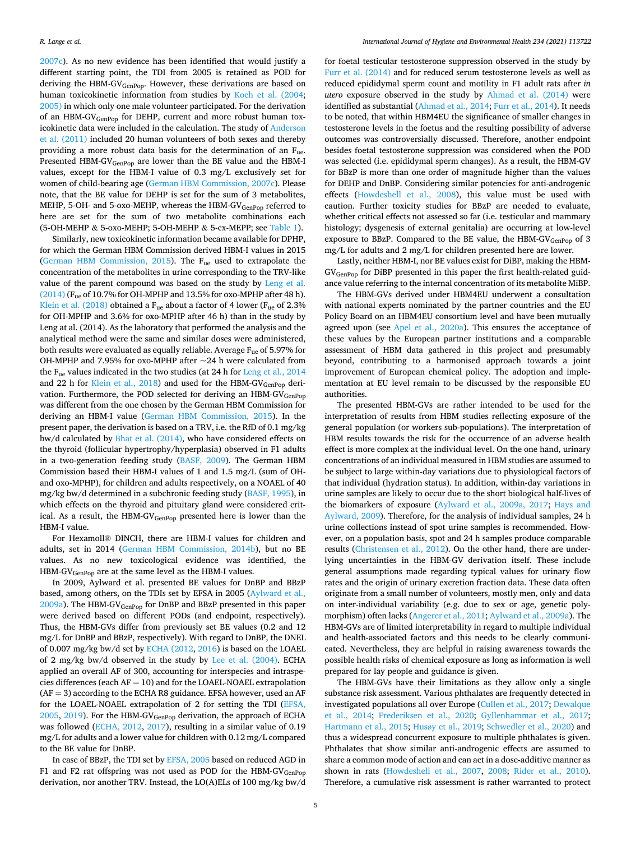[2007c](#page-6-0)). As no new evidence has been identified that would justify a different starting point, the TDI from 2005 is retained as POD for deriving the HBM-GV<sub>GenPop</sub>. However, these derivations are based on human toxicokinetic information from studies by [Koch et al. \(2004](#page-6-0); [2005\)](#page-6-0) in which only one male volunteer participated. For the derivation of an HBM-GVGenPop for DEHP, current and more robust human toxicokinetic data were included in the calculation. The study of [Anderson](#page-5-0)  [et al. \(2011\)](#page-5-0) included 20 human volunteers of both sexes and thereby providing a more robust data basis for the determination of an  $F_{ue}$ . Presented HBM-GV<sub>GenPop</sub> are lower than the BE value and the HBM-I values, except for the HBM-I value of 0.3 mg/L exclusively set for women of child-bearing age ([German HBM Commission, 2007c](#page-6-0)). Please note, that the BE value for DEHP is set for the sum of 3 metabolites, MEHP, 5-OH- and 5-oxo-MEHP, whereas the HBM-GV<sub>GenPop</sub> referred to here are set for the sum of two metabolite combinations each (5-OH-MEHP & 5-oxo-MEHP; 5-OH-MEHP & 5-cx-MEPP; see [Table 1](#page-3-0)).

Similarly, new toxicokinetic information became available for DPHP, for which the German HBM Commission derived HBM-I values in 2015 ([German HBM Commission, 2015](#page-6-0)). The  $F_{\text{ue}}$  used to extrapolate the concentration of the metabolites in urine corresponding to the TRV-like value of the parent compound was based on the study by [Leng et al.](#page-6-0)   $(2014)$  (F<sub>ue</sub> of 10.7% for OH-MPHP and 13.5% for oxo-MPHP after 48 h). [Klein et al. \(2018\)](#page-6-0) obtained a  $F_{\text{ue}}$  about a factor of 4 lower ( $F_{\text{ue}}$  of 2.3% for OH-MPHP and 3.6% for oxo-MPHP after 46 h) than in the study by Leng at al. (2014). As the laboratory that performed the analysis and the analytical method were the same and similar doses were administered, both results were evaluated as equally reliable. Average Fue of 5.97% for OH-MPHP and 7.95% for oxo-MPHP after  $\sim$ 24 h were calculated from the Fue values indicated in the two studies (at 24 h for [Leng et al., 2014](#page-6-0)  and 22 h for [Klein et al., 2018](#page-6-0)) and used for the HBM-GV $_{GenPop}$  derivation. Furthermore, the POD selected for deriving an HBM-GV<sub>GenPop</sub> was different from the one chosen by the German HBM Commission for deriving an HBM-I value [\(German HBM Commission, 2015](#page-6-0)). In the present paper, the derivation is based on a TRV, i.e. the RfD of 0.1 mg/kg bw/d calculated by [Bhat et al. \(2014\)](#page-5-0), who have considered effects on the thyroid (follicular hypertrophy/hyperplasia) observed in F1 adults in a two-generation feeding study ([BASF, 2009\)](#page-5-0). The German HBM Commission based their HBM-I values of 1 and 1.5 mg/L (sum of OHand oxo-MPHP), for children and adults respectively, on a NOAEL of 40 mg/kg bw/d determined in a subchronic feeding study ([BASF, 1995\)](#page-5-0), in which effects on the thyroid and pituitary gland were considered critical. As a result, the HBM-GV<sub>GenPop</sub> presented here is lower than the HBM-I value.

For Hexamoll® DINCH, there are HBM-I values for children and adults, set in 2014 [\(German HBM Commission, 2014b](#page-6-0)), but no BE values. As no new toxicological evidence was identified, the HBM-GVGenPop are at the same level as the HBM-I values.

In 2009, Aylward et al. presented BE values for DnBP and BBzP based, among others, on the TDIs set by EFSA in 2005 [\(Aylward et al.,](#page-5-0)   $2009a$ ). The HBM-GV<sub>GenPop</sub> for DnBP and BBzP presented in this paper were derived based on different PODs (and endpoint, respectively). Thus, the HBM-GVs differ from previously set BE values (0.2 and 12 mg/L for DnBP and BBzP, respectively). With regard to DnBP, the DNEL of 0.007 mg/kg bw/d set by [ECHA \(2012, 2016\)](#page-5-0) is based on the LOAEL of 2 mg/kg bw/d observed in the study by [Lee et al. \(2004\).](#page-6-0) ECHA applied an overall AF of 300, accounting for interspecies and intraspecies differences (each  $AF = 10$ ) and for the LOAEL-NOAEL extrapolation  $(AF = 3)$  according to the ECHA R8 guidance. EFSA however, used an AF for the LOAEL-NOAEL extrapolation of 2 for setting the TDI ([EFSA,](#page-6-0)  [2005, 2019](#page-6-0)). For the HBM-GV<sub>GenPop</sub> derivation, the approach of ECHA was followed [\(ECHA, 2012,](#page-5-0) [2017\)](#page-5-0), resulting in a similar value of 0.19 mg/L for adults and a lower value for children with 0.12 mg/L compared to the BE value for DnBP.

In case of BBzP, the TDI set by [EFSA, 2005](#page-6-0) based on reduced AGD in F1 and F2 rat offspring was not used as POD for the HBM-GV<sub>GenPop</sub> derivation, nor another TRV. Instead, the LO(A)ELs of 100 mg/kg bw/d for foetal testicular testosterone suppression observed in the study by [Furr et al. \(2014\)](#page-6-0) and for reduced serum testosterone levels as well as reduced epididymal sperm count and motility in F1 adult rats after *in utero* exposure observed in the study by [Ahmad et al. \(2014\)](#page-5-0) were identified as substantial [\(Ahmad et al., 2014;](#page-5-0) [Furr et al., 2014\)](#page-6-0). It needs to be noted, that within HBM4EU the significance of smaller changes in testosterone levels in the foetus and the resulting possibility of adverse outcomes was controversially discussed. Therefore, another endpoint besides foetal testosterone suppression was considered when the POD was selected (i.e. epididymal sperm changes). As a result, the HBM-GV for BBzP is more than one order of magnitude higher than the values for DEHP and DnBP. Considering similar potencies for anti-androgenic effects ([Howdeshell et al., 2008\)](#page-6-0), this value must be used with caution. Further toxicity studies for BBzP are needed to evaluate, whether critical effects not assessed so far (i.e. testicular and mammary histology; dysgenesis of external genitalia) are occurring at low-level exposure to BBzP. Compared to the BE value, the HBM-GV<sub>GenPop</sub> of 3 mg/L for adults and 2 mg/L for children presented here are lower.

Lastly, neither HBM-I, nor BE values exist for DiBP, making the HBM-GVGenPop for DiBP presented in this paper the first health-related guidance value referring to the internal concentration of its metabolite MiBP.

The HBM-GVs derived under HBM4EU underwent a consultation with national experts nominated by the partner countries and the EU Policy Board on an HBM4EU consortium level and have been mutually agreed upon (see [Apel et al., 2020a\)](#page-5-0). This ensures the acceptance of these values by the European partner institutions and a comparable assessment of HBM data gathered in this project and presumably beyond, contributing to a harmonised approach towards a joint improvement of European chemical policy. The adoption and implementation at EU level remain to be discussed by the responsible EU authorities.

The presented HBM-GVs are rather intended to be used for the interpretation of results from HBM studies reflecting exposure of the general population (or workers sub-populations). The interpretation of HBM results towards the risk for the occurrence of an adverse health effect is more complex at the individual level. On the one hand, urinary concentrations of an individual measured in HBM studies are assumed to be subject to large within-day variations due to physiological factors of that individual (hydration status). In addition, within-day variations in urine samples are likely to occur due to the short biological half-lives of the biomarkers of exposure [\(Aylward et al., 2009a, 2017;](#page-5-0) [Hays and](#page-6-0)  [Aylward, 2009](#page-6-0)). Therefore, for the analysis of individual samples, 24 h urine collections instead of spot urine samples is recommended. However, on a population basis, spot and 24 h samples produce comparable results [\(Christensen et al., 2012](#page-5-0)). On the other hand, there are underlying uncertainties in the HBM-GV derivation itself. These include general assumptions made regarding typical values for urinary flow rates and the origin of urinary excretion fraction data. These data often originate from a small number of volunteers, mostly men, only and data on inter-individual variability (e.g. due to sex or age, genetic polymorphism) often lacks [\(Angerer et al., 2011](#page-5-0); [Aylward et al., 2009a](#page-5-0)). The HBM-GVs are of limited interpretability in regard to multiple individual and health-associated factors and this needs to be clearly communicated. Nevertheless, they are helpful in raising awareness towards the possible health risks of chemical exposure as long as information is well prepared for lay people and guidance is given.

The HBM-GVs have their limitations as they allow only a single substance risk assessment. Various phthalates are frequently detected in investigated populations all over Europe ([Cullen et al., 2017](#page-5-0); [Dewalque](#page-5-0)  [et al., 2014;](#page-5-0) [Frederiksen et al., 2020;](#page-6-0) [Gyllenhammar et al., 2017](#page-6-0); [Hartmann et al., 2015](#page-6-0); Husø[y et al., 2019;](#page-6-0) [Schwedler et al., 2020](#page-7-0)) and thus a widespread concurrent exposure to multiple phthalates is given. Phthalates that show similar anti-androgenic effects are assumed to share a common mode of action and can act in a dose-additive manner as shown in rats [\(Howdeshell et al., 2007](#page-6-0), [2008;](#page-6-0) [Rider et al., 2010](#page-6-0)). Therefore, a cumulative risk assessment is rather warranted to protect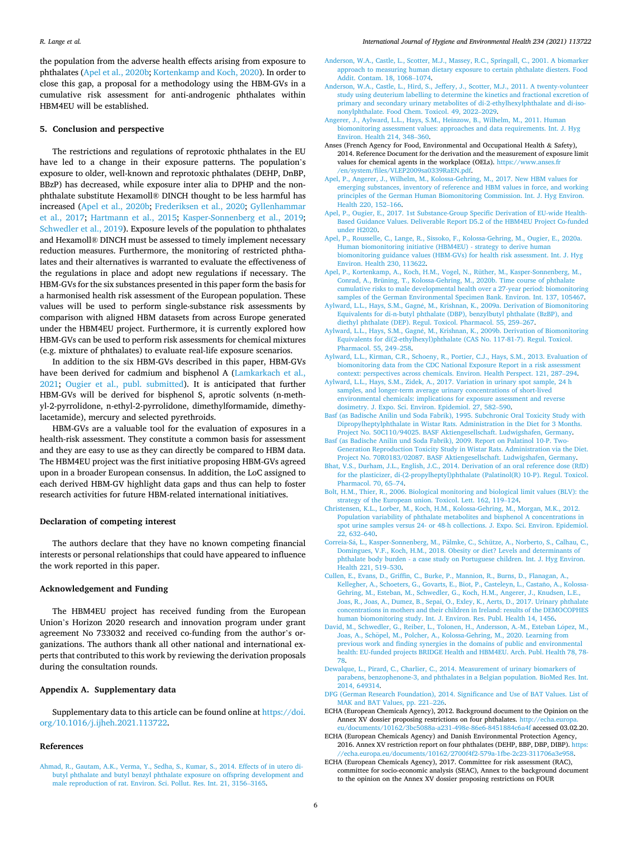<span id="page-5-0"></span>the population from the adverse health effects arising from exposure to phthalates (Apel et al., 2020b; [Kortenkamp and Koch, 2020\)](#page-6-0). In order to close this gap, a proposal for a methodology using the HBM-GVs in a cumulative risk assessment for anti-androgenic phthalates within HBM4EU will be established.

## **5. Conclusion and perspective**

The restrictions and regulations of reprotoxic phthalates in the EU have led to a change in their exposure patterns. The population's exposure to older, well-known and reprotoxic phthalates (DEHP, DnBP, BBzP) has decreased, while exposure inter alia to DPHP and the nonphthalate substitute Hexamoll® DINCH thought to be less harmful has increased (Apel et al., 2020b; [Frederiksen et al., 2020](#page-6-0); [Gyllenhammar](#page-6-0)  [et al., 2017;](#page-6-0) [Hartmann et al., 2015](#page-6-0); [Kasper-Sonnenberg et al., 2019](#page-6-0); [Schwedler et al., 2019](#page-6-0)). Exposure levels of the population to phthalates and Hexamoll® DINCH must be assessed to timely implement necessary reduction measures. Furthermore, the monitoring of restricted phthalates and their alternatives is warranted to evaluate the effectiveness of the regulations in place and adopt new regulations if necessary. The HBM-GVs for the six substances presented in this paper form the basis for a harmonised health risk assessment of the European population. These values will be used to perform single-substance risk assessments by comparison with aligned HBM datasets from across Europe generated under the HBM4EU project. Furthermore, it is currently explored how HBM-GVs can be used to perform risk assessments for chemical mixtures (e.g. mixture of phthalates) to evaluate real-life exposure scenarios.

In addition to the six HBM-GVs described in this paper, HBM-GVs have been derived for cadmium and bisphenol A (Lamkarkach et al., [2021;](#page-6-0) [Ougier et al., publ. submitted](#page-6-0)). It is anticipated that further HBM-GVs will be derived for bisphenol S, aprotic solvents (n-methyl-2-pyrrolidone, n-ethyl-2-pyrrolidone, dimethylformamide, dimethylacetamide), mercury and selected pyrethroids.

HBM-GVs are a valuable tool for the evaluation of exposures in a health-risk assessment. They constitute a common basis for assessment and they are easy to use as they can directly be compared to HBM data. The HBM4EU project was the first initiative proposing HBM-GVs agreed upon in a broader European consensus. In addition, the LoC assigned to each derived HBM-GV highlight data gaps and thus can help to foster research activities for future HBM-related international initiatives.

#### **Declaration of competing interest**

The authors declare that they have no known competing financial interests or personal relationships that could have appeared to influence the work reported in this paper.

## **Acknowledgement and Funding**

The HBM4EU project has received funding from the European Union's Horizon 2020 research and innovation program under grant agreement No 733032 and received co-funding from the author's organizations. The authors thank all other national and international experts that contributed to this work by reviewing the derivation proposals during the consultation rounds.

## **Appendix A. Supplementary data**

Supplementary data to this article can be found online at [https://doi.](https://doi.org/10.1016/j.ijheh.2021.113722)  [org/10.1016/j.ijheh.2021.113722.](https://doi.org/10.1016/j.ijheh.2021.113722)

## **References**

[Ahmad, R., Gautam, A.K., Verma, Y., Sedha, S., Kumar, S., 2014. Effects of in utero di](http://refhub.elsevier.com/S1438-4639(21)00037-7/sref1)[butyl phthalate and butyl benzyl phthalate exposure on offspring development and](http://refhub.elsevier.com/S1438-4639(21)00037-7/sref1)  [male reproduction of rat. Environ. Sci. Pollut. Res. Int. 21, 3156](http://refhub.elsevier.com/S1438-4639(21)00037-7/sref1)–3165.

- [Anderson, W.A., Castle, L., Scotter, M.J., Massey, R.C., Springall, C., 2001. A biomarker](http://refhub.elsevier.com/S1438-4639(21)00037-7/sref2)  [approach to measuring human dietary exposure to certain phthalate diesters. Food](http://refhub.elsevier.com/S1438-4639(21)00037-7/sref2)  [Addit. Contam. 18, 1068](http://refhub.elsevier.com/S1438-4639(21)00037-7/sref2)–1074.
- [Anderson, W.A., Castle, L., Hird, S., Jeffery, J., Scotter, M.J., 2011. A twenty-volunteer](http://refhub.elsevier.com/S1438-4639(21)00037-7/sref3) [study using deuterium labelling to determine the kinetics and fractional excretion of](http://refhub.elsevier.com/S1438-4639(21)00037-7/sref3)  [primary and secondary urinary metabolites of di-2-ethylhexylphthalate and di-iso](http://refhub.elsevier.com/S1438-4639(21)00037-7/sref3)[nonylphthalate. Food Chem. Toxicol. 49, 2022](http://refhub.elsevier.com/S1438-4639(21)00037-7/sref3)–2029.
- [Angerer, J., Aylward, L.L., Hays, S.M., Heinzow, B., Wilhelm, M., 2011. Human](http://refhub.elsevier.com/S1438-4639(21)00037-7/sref4) [biomonitoring assessment values: approaches and data requirements. Int. J. Hyg](http://refhub.elsevier.com/S1438-4639(21)00037-7/sref4) [Environ. Health 214, 348](http://refhub.elsevier.com/S1438-4639(21)00037-7/sref4)–360.
- Anses (French Agency for Food, Environmental and Occupational Health & Safety), 2014. Reference Document for the derivation and the measurement of exposure limit values for chemical agents in the workplace (OELs). https://www.anses.fr [/en/system/files/VLEP2009sa0339RaEN.pdf.](https://www.anses.fr/en/system/files/VLEP2009sa0339RaEN.pdf)
- [Apel, P., Angerer, J., Wilhelm, M., Kolossa-Gehring, M., 2017. New HBM values for](http://refhub.elsevier.com/S1438-4639(21)00037-7/sref6) [emerging substances, inventory of reference and HBM values in force, and working](http://refhub.elsevier.com/S1438-4639(21)00037-7/sref6)  [principles of the German Human Biomonitoring Commission. Int. J. Hyg Environ.](http://refhub.elsevier.com/S1438-4639(21)00037-7/sref6)  [Health 220, 152](http://refhub.elsevier.com/S1438-4639(21)00037-7/sref6)–166.
- [Apel, P., Ougier, E., 2017. 1st Substance-Group Specific Derivation of EU-wide Health-](http://refhub.elsevier.com/S1438-4639(21)00037-7/sref7)[Based Guidance Values. Deliverable Report D5.2 of the HBM4EU Project Co-funded](http://refhub.elsevier.com/S1438-4639(21)00037-7/sref7)  [under H2020](http://refhub.elsevier.com/S1438-4639(21)00037-7/sref7).
- [Apel, P., Rousselle, C., Lange, R., Sissoko, F., Kolossa-Gehring, M., Ougier, E., 2020a.](http://refhub.elsevier.com/S1438-4639(21)00037-7/sref8)  [Human biomonitoring initiative \(HBM4EU\) - strategy to derive human](http://refhub.elsevier.com/S1438-4639(21)00037-7/sref8) [biomonitoring guidance values \(HBM-GVs\) for health risk assessment. Int. J. Hyg](http://refhub.elsevier.com/S1438-4639(21)00037-7/sref8) [Environ. Health 230, 113622.](http://refhub.elsevier.com/S1438-4639(21)00037-7/sref8)
- [Apel, P., Kortenkamp, A., Koch, H.M., Vogel, N., Rüther, M., Kasper-Sonnenberg, M.,](http://refhub.elsevier.com/S1438-4639(21)00037-7/sref9) [Conrad, A., Brüning, T., Kolossa-Gehring, M., 2020b. Time course of phthalate](http://refhub.elsevier.com/S1438-4639(21)00037-7/sref9)  [cumulative risks to male developmental health over a 27-year period: biomonitoring](http://refhub.elsevier.com/S1438-4639(21)00037-7/sref9)  [samples of the German Environmental Specimen Bank. Environ. Int. 137, 105467](http://refhub.elsevier.com/S1438-4639(21)00037-7/sref9).
- Aylward, L.L., Hays, S.M., Gagné, M., Krishnan, K., 2009a. Derivation of Biomonitoring [Equivalents for di-n-butyl phthalate \(DBP\), benzylbutyl phthalate \(BzBP\), and](http://refhub.elsevier.com/S1438-4639(21)00037-7/sref10)  [diethyl phthalate \(DEP\). Regul. Toxicol. Pharmacol. 55, 259](http://refhub.elsevier.com/S1438-4639(21)00037-7/sref10)–267.
- Aylward, L.L., Hays, S.M., Gagn´[e, M., Krishnan, K., 2009b. Derivation of Biomonitoring](http://refhub.elsevier.com/S1438-4639(21)00037-7/sref11)  [Equivalents for di\(2-ethylhexyl\)phthalate \(CAS No. 117-81-7\). Regul. Toxicol.](http://refhub.elsevier.com/S1438-4639(21)00037-7/sref11)  [Pharmacol. 55, 249](http://refhub.elsevier.com/S1438-4639(21)00037-7/sref11)–258.
- [Aylward, L.L., Kirman, C.R., Schoeny, R., Portier, C.J., Hays, S.M., 2013. Evaluation of](http://refhub.elsevier.com/S1438-4639(21)00037-7/sref12) [biomonitoring data from the CDC National Exposure Report in a risk assessment](http://refhub.elsevier.com/S1438-4639(21)00037-7/sref12) [context: perspectives across chemicals. Environ. Health Perspect. 121, 287](http://refhub.elsevier.com/S1438-4639(21)00037-7/sref12)–294.
- [Aylward, L.L., Hays, S.M., Zidek, A., 2017. Variation in urinary spot sample, 24](http://refhub.elsevier.com/S1438-4639(21)00037-7/sref13) h [samples, and longer-term average urinary concentrations of short-lived](http://refhub.elsevier.com/S1438-4639(21)00037-7/sref13) [environmental chemicals: implications for exposure assessment and reverse](http://refhub.elsevier.com/S1438-4639(21)00037-7/sref13)  [dosimetry. J. Expo. Sci. Environ. Epidemiol. 27, 582](http://refhub.elsevier.com/S1438-4639(21)00037-7/sref13)–590.
- [Basf \(as Badische Anilin und Soda Fabrik\), 1995. Subchronic Oral Toxicity Study with](http://refhub.elsevier.com/S1438-4639(21)00037-7/sref14)  [Dipropylheptylphthalate in Wistar Rats. Administration in the Diet for 3 Months.](http://refhub.elsevier.com/S1438-4639(21)00037-7/sref14)  [Project No. 50C110/94025. BASF Aktiengesellschaft. Ludwigshafen, Germany](http://refhub.elsevier.com/S1438-4639(21)00037-7/sref14).
- [Basf \(as Badische Anilin und Soda Fabrik\), 2009. Report on Palatinol 10-P. Two-](http://refhub.elsevier.com/S1438-4639(21)00037-7/sref15)[Generation Reproduction Toxicity Study in Wistar Rats. Administration via the Diet.](http://refhub.elsevier.com/S1438-4639(21)00037-7/sref15)  [Project No. 70R0183/02087. BASF Aktiengesellschaft. Ludwigshafen, Germany.](http://refhub.elsevier.com/S1438-4639(21)00037-7/sref15)
- [Bhat, V.S., Durham, J.L., English, J.C., 2014. Derivation of an oral reference dose \(RfD\)](http://refhub.elsevier.com/S1438-4639(21)00037-7/sref16)  [for the plasticizer, di-\(2-propylheptyl\)phthalate \(Palatinol\(R\) 10-P\). Regul. Toxicol.](http://refhub.elsevier.com/S1438-4639(21)00037-7/sref16)  [Pharmacol. 70, 65](http://refhub.elsevier.com/S1438-4639(21)00037-7/sref16)–74.
- [Bolt, H.M., Thier, R., 2006. Biological monitoring and biological limit values \(BLV\): the](http://refhub.elsevier.com/S1438-4639(21)00037-7/sref17)  [strategy of the European union. Toxicol. Lett. 162, 119](http://refhub.elsevier.com/S1438-4639(21)00037-7/sref17)–124.
- [Christensen, K.L., Lorber, M., Koch, H.M., Kolossa-Gehring, M., Morgan, M.K., 2012.](http://refhub.elsevier.com/S1438-4639(21)00037-7/sref18)  [Population variability of phthalate metabolites and bisphenol A concentrations in](http://refhub.elsevier.com/S1438-4639(21)00037-7/sref18) [spot urine samples versus 24- or 48-h collections. J. Expo. Sci. Environ. Epidemiol.](http://refhub.elsevier.com/S1438-4639(21)00037-7/sref18)  [22, 632](http://refhub.elsevier.com/S1438-4639(21)00037-7/sref18)–640.
- Correia-Sá, L., Kasper-Sonnenberg, M., Pälmke, C., Schütze, A., Norberto, S., Calhau, C., [Domingues, V.F., Koch, H.M., 2018. Obesity or diet? Levels and determinants of](http://refhub.elsevier.com/S1438-4639(21)00037-7/sref19)  [phthalate body burden - a case study on Portuguese children. Int. J. Hyg Environ.](http://refhub.elsevier.com/S1438-4639(21)00037-7/sref19)  [Health 221, 519](http://refhub.elsevier.com/S1438-4639(21)00037-7/sref19)–530.
- [Cullen, E., Evans, D., Griffin, C., Burke, P., Mannion, R., Burns, D., Flanagan, A.,](http://refhub.elsevier.com/S1438-4639(21)00037-7/sref20)  Kellegher, A., Schoeters, G., Govarts, E., Biot, P., Casteleyn, L., Castaño, A., Kolossa-[Gehring, M., Esteban, M., Schwedler, G., Koch, H.M., Angerer, J., Knudsen, L.E.,](http://refhub.elsevier.com/S1438-4639(21)00037-7/sref20) [Joas, R., Joas, A., Dumez, B., Sepai, O., Exley, K., Aerts, D., 2017. Urinary phthalate](http://refhub.elsevier.com/S1438-4639(21)00037-7/sref20)  [concentrations in mothers and their children in Ireland: results of the DEMOCOPHES](http://refhub.elsevier.com/S1438-4639(21)00037-7/sref20)  [human biomonitoring study. Int. J. Environ. Res. Publ. Health 14, 1456.](http://refhub.elsevier.com/S1438-4639(21)00037-7/sref20)
- David, M., Schwedler, G., Reiber, L., Tolonen, H., Andersson, A.-M., Esteban López, M., Joas, A., Schöpel, M., Polcher, A., Kolossa-Gehring, M., 2020. Learning from [previous work and finding synergies in the domains of public and environmental](http://refhub.elsevier.com/S1438-4639(21)00037-7/sref21) [health: EU-funded projects BRIDGE Health and HBM4EU. Arch. Publ. Health 78, 78-](http://refhub.elsevier.com/S1438-4639(21)00037-7/sref21)  [78.](http://refhub.elsevier.com/S1438-4639(21)00037-7/sref21)
- [Dewalque, L., Pirard, C., Charlier, C., 2014. Measurement of urinary biomarkers of](http://refhub.elsevier.com/S1438-4639(21)00037-7/sref22) [parabens, benzophenone-3, and phthalates in a Belgian population. BioMed Res. Int.](http://refhub.elsevier.com/S1438-4639(21)00037-7/sref22)  [2014, 649314](http://refhub.elsevier.com/S1438-4639(21)00037-7/sref22).
- [DFG \(German Research Foundation\), 2014. Significance and Use of BAT Values. List of](http://refhub.elsevier.com/S1438-4639(21)00037-7/sref23) [MAK and BAT Values, pp. 221](http://refhub.elsevier.com/S1438-4639(21)00037-7/sref23)–226.
- ECHA (European Chemicals Agency), 2012. Background document to the Opinion on the Annex XV dossier proposing restrictions on four phthalates. http://echa.euro [eu/documents/10162/3bc5088a-a231-498e-86e6-8451884c6a4f](http://echa.europa.eu/documents/10162/3bc5088a-a231-498e-86e6-8451884c6a4f) accessed 03.02.20.
- ECHA (European Chemicals Agency) and Danish Environmental Protection Agency, 2016. Annex XV restriction report on four phthalates (DEHP, BBP, DBP, DIBP). https: [//echa.europa.eu/documents/10162/2700f4f2-579a-1fbe-2c23-311706a3e958.](https://echa.europa.eu/documents/10162/2700f4f2-579a-1fbe-2c23-311706a3e958)
- ECHA (European Chemicals Agency), 2017. Committee for risk assessment (RAC), committee for socio-economic analysis (SEAC), Annex to the background document to the opinion on the Annex XV dossier proposing restrictions on FOUR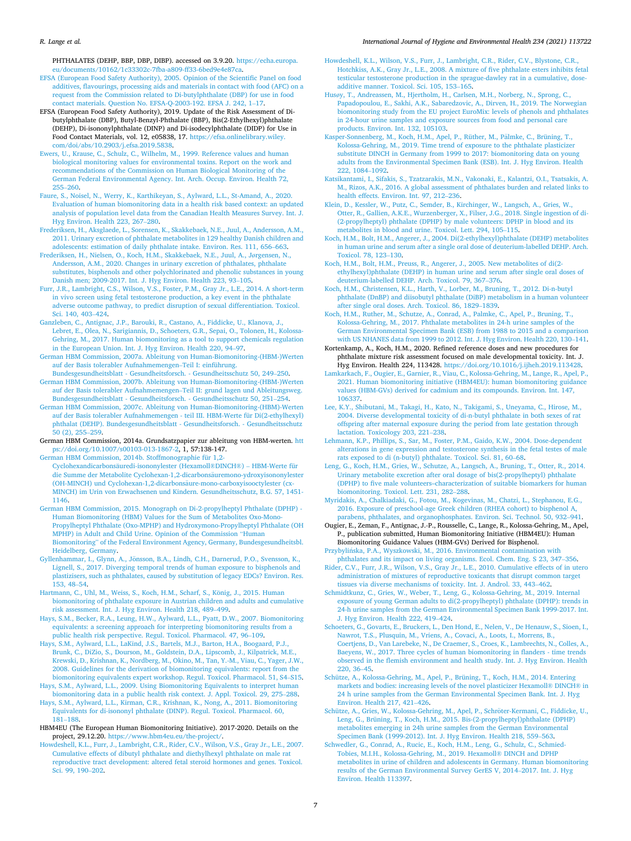#### <span id="page-6-0"></span>*R. Lange et al.*

PHTHALATES (DEHP, BBP, DBP, DIBP). accessed on 3.9.20. [https://echa.europa.](https://echa.europa.eu/documents/10162/1c33302c-7fba-a809-ff33-6bed9e4e87ca)  [eu/documents/10162/1c33302c-7fba-a809-ff33-6bed9e4e87ca](https://echa.europa.eu/documents/10162/1c33302c-7fba-a809-ff33-6bed9e4e87ca).

- [EFSA \(European Food Safety Authority\), 2005. Opinion of the Scientific Panel on food](http://refhub.elsevier.com/S1438-4639(21)00037-7/sref27)  [additives, flavourings, processing aids and materials in contact with food \(AFC\) on a](http://refhub.elsevier.com/S1438-4639(21)00037-7/sref27)  [request from the Commission related to Di-butylphthalate \(DBP\) for use in food](http://refhub.elsevier.com/S1438-4639(21)00037-7/sref27)  [contact materials. Question No. EFSA-Q-2003-192. EFSA J. 242, 1](http://refhub.elsevier.com/S1438-4639(21)00037-7/sref27)–17.
- EFSA (European Food Safety Authority), 2019. Update of the Risk Assessment of Dibutylphthalate (DBP), Butyl-Benzyl-Phthalate (BBP), Bis(2-Ethylhexyl)phthalate (DEHP), Di-isononylphthalate (DINP) and Di-isodecylphthalate (DIDP) for Use in Food Contact Materials, vol. 12, e05838, 17. [https://efsa.onlinelibrary.wiley.](https://efsa.onlinelibrary.wiley.com/doi/abs/10.2903/j.efsa.2019.5838)  [com/doi/abs/10.2903/j.efsa.2019.5838](https://efsa.onlinelibrary.wiley.com/doi/abs/10.2903/j.efsa.2019.5838).
- [Ewers, U., Krause, C., Schulz, C., Wilhelm, M., 1999. Reference values and human](http://refhub.elsevier.com/S1438-4639(21)00037-7/sref29)  [biological monitoring values for environmental toxins. Report on the work and](http://refhub.elsevier.com/S1438-4639(21)00037-7/sref29) [recommendations of the Commission on Human Biological Monitoring of the](http://refhub.elsevier.com/S1438-4639(21)00037-7/sref29)  [German Federal Environmental Agency. Int. Arch. Occup. Environ. Health 72,](http://refhub.elsevier.com/S1438-4639(21)00037-7/sref29) 255–[260](http://refhub.elsevier.com/S1438-4639(21)00037-7/sref29).
- [Faure, S., Noisel, N., Werry, K., Karthikeyan, S., Aylward, L.L., St-Amand, A., 2020.](http://refhub.elsevier.com/S1438-4639(21)00037-7/sref30) [Evaluation of human biomonitoring data in a health risk based context: an updated](http://refhub.elsevier.com/S1438-4639(21)00037-7/sref30)  [analysis of population level data from the Canadian Health Measures Survey. Int. J.](http://refhub.elsevier.com/S1438-4639(21)00037-7/sref30)  [Hyg Environ. Health 223, 267](http://refhub.elsevier.com/S1438-4639(21)00037-7/sref30)–280.
- [Frederiksen, H., Aksglaede, L., Sorensen, K., Skakkebaek, N.E., Juul, A., Andersson, A.M.,](http://refhub.elsevier.com/S1438-4639(21)00037-7/sref31)  [2011. Urinary excretion of phthalate metabolites in 129 healthy Danish children and](http://refhub.elsevier.com/S1438-4639(21)00037-7/sref31)  [adolescents: estimation of daily phthalate intake. Environ. Res. 111, 656](http://refhub.elsevier.com/S1438-4639(21)00037-7/sref31)–663.
- [Frederiksen, H., Nielsen, O., Koch, H.M., Skakkebaek, N.E., Juul, A., J](http://refhub.elsevier.com/S1438-4639(21)00037-7/sref32)ørgensen, N., [Andersson, A.M., 2020. Changes in urinary excretion of phthalates, phthalate](http://refhub.elsevier.com/S1438-4639(21)00037-7/sref32) [substitutes, bisphenols and other polychlorinated and phenolic substances in young](http://refhub.elsevier.com/S1438-4639(21)00037-7/sref32)  [Danish men; 2009-2017. Int. J. Hyg Environ. Health 223, 93](http://refhub.elsevier.com/S1438-4639(21)00037-7/sref32)–105.
- [Furr, J.R., Lambright, C.S., Wilson, V.S., Foster, P.M., Gray Jr., L.E., 2014. A short-term](http://refhub.elsevier.com/S1438-4639(21)00037-7/sref33)  [in vivo screen using fetal testosterone production, a key event in the phthalate](http://refhub.elsevier.com/S1438-4639(21)00037-7/sref33)  [adverse outcome pathway, to predict disruption of sexual differentiation. Toxicol.](http://refhub.elsevier.com/S1438-4639(21)00037-7/sref33) [Sci. 140, 403](http://refhub.elsevier.com/S1438-4639(21)00037-7/sref33)–424.
- [Ganzleben, C., Antignac, J.P., Barouki, R., Castano, A., Fiddicke, U., Klanova, J.,](http://refhub.elsevier.com/S1438-4639(21)00037-7/sref34)  [Lebret, E., Olea, N., Sarigiannis, D., Schoeters, G.R., Sepai, O., Tolonen, H., Kolossa-](http://refhub.elsevier.com/S1438-4639(21)00037-7/sref34)[Gehring, M., 2017. Human biomonitoring as a tool to support chemicals regulation](http://refhub.elsevier.com/S1438-4639(21)00037-7/sref34)  [in the European Union. Int. J. Hyg Environ. Health 220, 94](http://refhub.elsevier.com/S1438-4639(21)00037-7/sref34)–97.
- [German HBM Commission, 2007a. Ableitung von Human-Biomonitoring-\(HBM-\)Werten](http://refhub.elsevier.com/S1438-4639(21)00037-7/sref35)  [auf der Basis tolerabler Aufnahmemengen](http://refhub.elsevier.com/S1438-4639(21)00037-7/sref35)–Teil I: einführung.
- [Bundesgesundheitsblatt Gesundheitsforsch. Gesundheitsschutz 50, 249](http://refhub.elsevier.com/S1438-4639(21)00037-7/sref35)–250. [German HBM Commission, 2007b. Ableitung von Human-Biomonitoring-\(HBM-\)Werten](http://refhub.elsevier.com/S1438-4639(21)00037-7/sref36)  [auf der Basis tolerabler Aufnahmemengen](http://refhub.elsevier.com/S1438-4639(21)00037-7/sref36)–Teil II: grund lagen und Ableitungsweg. [Bundesgesundheitsblatt - Gesundheitsforsch. - Gesundheitsschutz 50, 251](http://refhub.elsevier.com/S1438-4639(21)00037-7/sref36)–254.
- [German HBM Commission, 2007c. Ableitung von Human-Biomonitoring-\(HBM\)-Werten](http://refhub.elsevier.com/S1438-4639(21)00037-7/sref37)  [auf der Basis tolerabler Aufnahmemengen - teil III. HBM-Werte für Di\(2-ethylhexyl\)](http://refhub.elsevier.com/S1438-4639(21)00037-7/sref37)  [phthalat \(DEHP\). Bundesgesundheitsblatt - Gesundheitsforsch. - Gesundheitsschutz](http://refhub.elsevier.com/S1438-4639(21)00037-7/sref37) [50 \(2\), 255](http://refhub.elsevier.com/S1438-4639(21)00037-7/sref37)–259.
- German HBM Commission, 2014a. Grundsatzpapier zur ableitung von HBM-werten. [htt](https://doi.org/10.1007/s00103-013-1867-2)  [ps://doi.org/10.1007/s00103-013-1867-2,](https://doi.org/10.1007/s00103-013-1867-2) 1, 57:138-147.
- [German HBM Commission, 2014b. Stoffmonographie für 1,2-](http://refhub.elsevier.com/S1438-4639(21)00037-7/sref39) Cyclohexandicarbonsäuredi-isononylester (Hexamoll®DINCH®) - HBM-Werte für [die Summe der Metabolite Cyclohexan-1,2-dicarbons](http://refhub.elsevier.com/S1438-4639(21)00037-7/sref39)äuremono-ydroxyisononylester [\(OH-MINCH\) und Cyclohexan-1,2-dicarbons](http://refhub.elsevier.com/S1438-4639(21)00037-7/sref39)äure-mono-carboxyisooctylester (cx-[MINCH\) im Urin von Erwachsenen und Kindern. Gesundheitsschutz, B.G. 57, 1451-](http://refhub.elsevier.com/S1438-4639(21)00037-7/sref39)  [1146.](http://refhub.elsevier.com/S1438-4639(21)00037-7/sref39)
- [German HBM Commission, 2015. Monograph on Di-2-propylheptyl Phthalate \(DPHP\) -](http://refhub.elsevier.com/S1438-4639(21)00037-7/sref40) [Human Biomonitoring \(HBM\) Values for the Sum of Metabolites Oxo-Mono-](http://refhub.elsevier.com/S1438-4639(21)00037-7/sref40)[Propylheptyl Phthalate \(Oxo-MPHP\) and Hydroxymono-Propylheptyl Phthalate \(OH](http://refhub.elsevier.com/S1438-4639(21)00037-7/sref40)  [MPHP\) in Adult and Child Urine. Opinion of the Commission](http://refhub.elsevier.com/S1438-4639(21)00037-7/sref40) "Human Biomonitoring" [of the Federal Environment Agency, Germany, Bundesgesundheitsbl.](http://refhub.elsevier.com/S1438-4639(21)00037-7/sref40)  [Heidelberg, Germany](http://refhub.elsevier.com/S1438-4639(21)00037-7/sref40).
- Gyllenhammar, I., Glynn, A., Jönsson, B.A., Lindh, C.H., Darnerud, P.O., Svensson, K., [Lignell, S., 2017. Diverging temporal trends of human exposure to bisphenols and](http://refhub.elsevier.com/S1438-4639(21)00037-7/sref41)  [plastizisers, such as phthalates, caused by substitution of legacy EDCs? Environ. Res.](http://refhub.elsevier.com/S1438-4639(21)00037-7/sref41)  [153, 48](http://refhub.elsevier.com/S1438-4639(21)00037-7/sref41)–54.
- Hartmann, C., Uhl, M., Weiss, S., Koch, H.M., Scharf, S., König, J., 2015. Human [biomonitoring of phthalate exposure in Austrian children and adults and cumulative](http://refhub.elsevier.com/S1438-4639(21)00037-7/sref42)  [risk assessment. Int. J. Hyg Environ. Health 218, 489](http://refhub.elsevier.com/S1438-4639(21)00037-7/sref42)–499.
- [Hays, S.M., Becker, R.A., Leung, H.W., Aylward, L.L., Pyatt, D.W., 2007. Biomonitoring](http://refhub.elsevier.com/S1438-4639(21)00037-7/sref43)  [equivalents: a screening approach for interpreting biomonitoring results from a](http://refhub.elsevier.com/S1438-4639(21)00037-7/sref43)  [public health risk perspective. Regul. Toxicol. Pharmacol. 47, 96](http://refhub.elsevier.com/S1438-4639(21)00037-7/sref43)–109.
- [Hays, S.M., Aylward, L.L., LaKind, J.S., Bartels, M.J., Barton, H.A., Boogaard, P.J.,](http://refhub.elsevier.com/S1438-4639(21)00037-7/sref44)  [Brunk, C., DiZio, S., Dourson, M., Goldstein, D.A., Lipscomb, J., Kilpatrick, M.E.,](http://refhub.elsevier.com/S1438-4639(21)00037-7/sref44)  [Krewski, D., Krishnan, K., Nordberg, M., Okino, M., Tan, Y.-M., Viau, C., Yager, J.W.,](http://refhub.elsevier.com/S1438-4639(21)00037-7/sref44)  [2008. Guidelines for the derivation of biomonitoring equivalents: report from the](http://refhub.elsevier.com/S1438-4639(21)00037-7/sref44) [biomonitoring equivalents expert workshop. Regul. Toxicol. Pharmacol. 51, S4](http://refhub.elsevier.com/S1438-4639(21)00037-7/sref44)–S15.
- [Hays, S.M., Aylward, L.L., 2009. Using Biomonitoring Equivalents to interpret human](http://refhub.elsevier.com/S1438-4639(21)00037-7/sref45) [biomonitoring data in a public health risk context. J. Appl. Toxicol. 29, 275](http://refhub.elsevier.com/S1438-4639(21)00037-7/sref45)–288.
- [Hays, S.M., Aylward, L.L., Kirman, C.R., Krishnan, K., Nong, A., 2011. Biomonitoring](http://refhub.elsevier.com/S1438-4639(21)00037-7/sref46)  [Equivalents for di-isononyl phthalate \(DINP\). Regul. Toxicol. Pharmacol. 60,](http://refhub.elsevier.com/S1438-4639(21)00037-7/sref46) 181–[188](http://refhub.elsevier.com/S1438-4639(21)00037-7/sref46).
- HBM4EU (The European Human Biomonitoring Initiative). 2017-2020. Details on the project, 29.12.20. <https://www.hbm4eu.eu/the-project/>.
- [Howdeshell, K.L., Furr, J., Lambright, C.R., Rider, C.V., Wilson, V.S., Gray Jr., L.E., 2007.](http://refhub.elsevier.com/S1438-4639(21)00037-7/sref48)  [Cumulative effects of dibutyl phthalate and diethylhexyl phthalate on male rat](http://refhub.elsevier.com/S1438-4639(21)00037-7/sref48)  [reproductive tract development: altered fetal steroid hormones and genes. Toxicol.](http://refhub.elsevier.com/S1438-4639(21)00037-7/sref48)  [Sci. 99, 190](http://refhub.elsevier.com/S1438-4639(21)00037-7/sref48)–202.
- [Howdeshell, K.L., Wilson, V.S., Furr, J., Lambright, C.R., Rider, C.V., Blystone, C.R.,](http://refhub.elsevier.com/S1438-4639(21)00037-7/sref49)  [Hotchkiss, A.K., Gray Jr., L.E., 2008. A mixture of five phthalate esters inhibits fetal](http://refhub.elsevier.com/S1438-4639(21)00037-7/sref49)  testicular testosterone production in the sprague-dawley rat in a cumulative, dose [additive manner. Toxicol. Sci. 105, 153](http://refhub.elsevier.com/S1438-4639(21)00037-7/sref49)–165.
- Husø[y, T., Andreassen, M., Hjertholm, H., Carlsen, M.H., Norberg, N., Sprong, C.,](http://refhub.elsevier.com/S1438-4639(21)00037-7/sref50) [Papadopoulou, E., Sakhi, A.K., Sabaredzovic, A., Dirven, H., 2019. The Norwegian](http://refhub.elsevier.com/S1438-4639(21)00037-7/sref50)  [biomonitoring study from the EU project EuroMix: levels of phenols and phthalates](http://refhub.elsevier.com/S1438-4639(21)00037-7/sref50)  [in 24-hour urine samples and exposure sources from food and personal care](http://refhub.elsevier.com/S1438-4639(21)00037-7/sref50)  [products. Environ. Int. 132, 105103.](http://refhub.elsevier.com/S1438-4639(21)00037-7/sref50)
- [Kasper-Sonnenberg, M., Koch, H.M., Apel, P., Rüther, M., P](http://refhub.elsevier.com/S1438-4639(21)00037-7/sref51)älmke, C., Brüning, T., [Kolossa-Gehring, M., 2019. Time trend of exposure to the phthalate plasticizer](http://refhub.elsevier.com/S1438-4639(21)00037-7/sref51)  [substitute DINCH in Germany from 1999 to 2017: biomonitoring data on young](http://refhub.elsevier.com/S1438-4639(21)00037-7/sref51) [adults from the Environmental Specimen Bank \(ESB\). Int. J. Hyg Environ. Health](http://refhub.elsevier.com/S1438-4639(21)00037-7/sref51)  [222, 1084](http://refhub.elsevier.com/S1438-4639(21)00037-7/sref51)–1092.
- [Katsikantami, I., Sifakis, S., Tzatzarakis, M.N., Vakonaki, E., Kalantzi, O.I., Tsatsakis, A.](http://refhub.elsevier.com/S1438-4639(21)00037-7/sref52)  [M., Rizos, A.K., 2016. A global assessment of phthalates burden and related links to](http://refhub.elsevier.com/S1438-4639(21)00037-7/sref52)  [health effects. Environ. Int. 97, 212](http://refhub.elsevier.com/S1438-4639(21)00037-7/sref52)–236.
- [Klein, D., Kessler, W., Putz, C., Semder, B., Kirchinger, W., Langsch, A., Gries, W.,](http://refhub.elsevier.com/S1438-4639(21)00037-7/sref53)  [Otter, R., Gallien, A.K.E., Wurzenberger, X., Filser, J.G., 2018. Single ingestion of di-](http://refhub.elsevier.com/S1438-4639(21)00037-7/sref53)  [\(2-propylheptyl\) phthalate \(DPHP\) by male volunteers: DPHP in blood and its](http://refhub.elsevier.com/S1438-4639(21)00037-7/sref53) [metabolites in blood and urine. Toxicol. Lett. 294, 105](http://refhub.elsevier.com/S1438-4639(21)00037-7/sref53)–115.
- [Koch, H.M., Bolt, H.M., Angerer, J., 2004. Di\(2-ethylhexyl\)phthalate \(DEHP\) metabolites](http://refhub.elsevier.com/S1438-4639(21)00037-7/sref54)  [in human urine and serum after a single oral dose of deuterium-labelled DEHP. Arch.](http://refhub.elsevier.com/S1438-4639(21)00037-7/sref54)  [Toxicol. 78, 123](http://refhub.elsevier.com/S1438-4639(21)00037-7/sref54)–130.
- [Koch, H.M., Bolt, H.M., Preuss, R., Angerer, J., 2005. New metabolites of di\(2](http://refhub.elsevier.com/S1438-4639(21)00037-7/sref55)  [ethylhexyl\)phthalate \(DEHP\) in human urine and serum after single oral doses of](http://refhub.elsevier.com/S1438-4639(21)00037-7/sref55)  [deuterium-labelled DEHP. Arch. Toxicol. 79, 367](http://refhub.elsevier.com/S1438-4639(21)00037-7/sref55)–376.
- [Koch, H.M., Christensen, K.L., Harth, V., Lorber, M., Bruning, T., 2012. Di-n-butyl](http://refhub.elsevier.com/S1438-4639(21)00037-7/sref56)  [phthalate \(DnBP\) and diisobutyl phthalate \(DiBP\) metabolism in a human volunteer](http://refhub.elsevier.com/S1438-4639(21)00037-7/sref56)  [after single oral doses. Arch. Toxicol. 86, 1829](http://refhub.elsevier.com/S1438-4639(21)00037-7/sref56)–1839.
- [Koch, H.M., Ruther, M., Schutze, A., Conrad, A., Palmke, C., Apel, P., Bruning, T.,](http://refhub.elsevier.com/S1438-4639(21)00037-7/sref57) [Kolossa-Gehring, M., 2017. Phthalate metabolites in 24-h urine samples of the](http://refhub.elsevier.com/S1438-4639(21)00037-7/sref57) [German Environmental Specimen Bank \(ESB\) from 1988 to 2015 and a comparison](http://refhub.elsevier.com/S1438-4639(21)00037-7/sref57)  [with US NHANES data from 1999 to 2012. Int. J. Hyg Environ. Health 220, 130](http://refhub.elsevier.com/S1438-4639(21)00037-7/sref57)–141.
- Kortenkamp, A., Koch, H.M., 2020. Refined reference doses and new procedures for phthalate mixture risk assessment focused on male developmental toxicity. Int. J. Hyg Environ. Health 224, 113428. [https://doi.org/10.1016/j.ijheh.2019.113428.](https://doi.org/10.1016/j.ijheh.2019.113428)
- [Lamkarkach, F., Ougier, E., Garnier, R., Viau, C., Kolossa-Gehring, M., Lange, R., Apel, P.,](http://refhub.elsevier.com/S1438-4639(21)00037-7/sref59)  [2021. Human biomonitoring initiative \(HBM4EU\): human biomonitoring guidance](http://refhub.elsevier.com/S1438-4639(21)00037-7/sref59) [values \(HBM-GVs\) derived for cadmium and its compounds. Environ. Int. 147,](http://refhub.elsevier.com/S1438-4639(21)00037-7/sref59)  [106337](http://refhub.elsevier.com/S1438-4639(21)00037-7/sref59).
- [Lee, K.Y., Shibutani, M., Takagi, H., Kato, N., Takigami, S., Uneyama, C., Hirose, M.,](http://refhub.elsevier.com/S1438-4639(21)00037-7/sref60) [2004. Diverse developmental toxicity of di-n-butyl phthalate in both sexes of rat](http://refhub.elsevier.com/S1438-4639(21)00037-7/sref60)  [offspring after maternal exposure during the period from late gestation through](http://refhub.elsevier.com/S1438-4639(21)00037-7/sref60) [lactation. Toxicology 203, 221](http://refhub.elsevier.com/S1438-4639(21)00037-7/sref60)–238.
- [Lehmann, K.P., Phillips, S., Sar, M., Foster, P.M., Gaido, K.W., 2004. Dose-dependent](http://refhub.elsevier.com/S1438-4639(21)00037-7/sref61) [alterations in gene expression and testosterone synthesis in the fetal testes of male](http://refhub.elsevier.com/S1438-4639(21)00037-7/sref61) [rats exposed to di \(n-butyl\) phthalate. Toxicol. Sci. 81, 60](http://refhub.elsevier.com/S1438-4639(21)00037-7/sref61)–68.
- [Leng, G., Koch, H.M., Gries, W., Schutze, A., Langsch, A., Bruning, T., Otter, R., 2014.](http://refhub.elsevier.com/S1438-4639(21)00037-7/sref62)  [Urinary metabolite excretion after oral dosage of bis\(2-propylheptyl\) phthalate](http://refhub.elsevier.com/S1438-4639(21)00037-7/sref62)  [\(DPHP\) to five male volunteers–characterization of suitable biomarkers for human](http://refhub.elsevier.com/S1438-4639(21)00037-7/sref62) [biomonitoring. Toxicol. Lett. 231, 282](http://refhub.elsevier.com/S1438-4639(21)00037-7/sref62)–288.
- [Myridakis, A., Chalkiadaki, G., Fotou, M., Kogevinas, M., Chatzi, L., Stephanou, E.G.,](http://refhub.elsevier.com/S1438-4639(21)00037-7/sref63)  [2016. Exposure of preschool-age Greek children \(RHEA cohort\) to bisphenol A,](http://refhub.elsevier.com/S1438-4639(21)00037-7/sref63) [parabens, phthalates, and organophosphates. Environ. Sci. Technol. 50, 932](http://refhub.elsevier.com/S1438-4639(21)00037-7/sref63)–941.
- Ougier, E., Zeman, F., Antignac, J.-P., Rousselle, C., Lange, R., Kolossa-Gehring, M., Apel, P., publication submitted, Human Biomonitoring Initiative (HBM4EU): Human Biomonitoring Guidance Values (HBM-GVs) Derived for Bisphenol.
- Przybylińska, P.A., Wyszkowski, M., 2016. Environmental contamination with [phthalates and its impact on living organisms. Ecol. Chem. Eng. S 23, 347](http://refhub.elsevier.com/S1438-4639(21)00037-7/sref65)–356.
- [Rider, C.V., Furr, J.R., Wilson, V.S., Gray Jr., L.E., 2010. Cumulative effects of in utero](http://refhub.elsevier.com/S1438-4639(21)00037-7/sref66) [administration of mixtures of reproductive toxicants that disrupt common target](http://refhub.elsevier.com/S1438-4639(21)00037-7/sref66) [tissues via diverse mechanisms of toxicity. Int. J. Androl. 33, 443](http://refhub.elsevier.com/S1438-4639(21)00037-7/sref66)–462.
- [Schmidtkunz, C., Gries, W., Weber, T., Leng, G., Kolossa-Gehring, M., 2019. Internal](http://refhub.elsevier.com/S1438-4639(21)00037-7/sref67)  [exposure of young German adults to di\(2-propylheptyl\) phthalate \(DPHP\): trends in](http://refhub.elsevier.com/S1438-4639(21)00037-7/sref67)  [24-h urine samples from the German Environmental Specimen Bank 1999-2017. Int.](http://refhub.elsevier.com/S1438-4639(21)00037-7/sref67)  [J. Hyg Environ. Health 222, 419](http://refhub.elsevier.com/S1438-4639(21)00037-7/sref67)–424.
- [Schoeters, G., Govarts, E., Bruckers, L., Den Hond, E., Nelen, V., De Henauw, S., Sioen, I.,](http://refhub.elsevier.com/S1438-4639(21)00037-7/sref68)  [Nawrot, T.S., Plusquin, M., Vriens, A., Covaci, A., Loots, I., Morrens, B.,](http://refhub.elsevier.com/S1438-4639(21)00037-7/sref68)  [Coertjens, D., Van Larebeke, N., De Craemer, S., Croes, K., Lambrechts, N., Colles, A.,](http://refhub.elsevier.com/S1438-4639(21)00037-7/sref68)  [Baeyens, W., 2017. Three cycles of human biomonitoring in flanders - time trends](http://refhub.elsevier.com/S1438-4639(21)00037-7/sref68) [observed in the flemish environment and health study. Int. J. Hyg Environ. Health](http://refhub.elsevier.com/S1438-4639(21)00037-7/sref68)  [220, 36](http://refhub.elsevier.com/S1438-4639(21)00037-7/sref68)–45.
- [Schütze, A., Kolossa-Gehring, M., Apel, P., Brüning, T., Koch, H.M., 2014. Entering](http://refhub.elsevier.com/S1438-4639(21)00037-7/sref69)  [markets and bodies: increasing levels of the novel plasticizer Hexamoll](http://refhub.elsevier.com/S1438-4639(21)00037-7/sref69)® DINCH® in [24 h urine samples from the German Environmental Specimen Bank. Int. J. Hyg](http://refhub.elsevier.com/S1438-4639(21)00037-7/sref69) [Environ. Health 217, 421](http://refhub.elsevier.com/S1438-4639(21)00037-7/sref69)–426.
- Schütze, A., Gries, W., Kolossa-Gehring, M., Apel, P., Schröter-Kermani, C., Fiddicke, U., [Leng, G., Brüning, T., Koch, H.M., 2015. Bis-\(2-propylheptyl\)phthalate \(DPHP\)](http://refhub.elsevier.com/S1438-4639(21)00037-7/sref70) [metabolites emerging in 24h urine samples from the German Environmental](http://refhub.elsevier.com/S1438-4639(21)00037-7/sref70)  [Specimen Bank \(1999-2012\). Int. J. Hyg Environ. Health 218, 559](http://refhub.elsevier.com/S1438-4639(21)00037-7/sref70)–563.
- [Schwedler, G., Conrad, A., Rucic, E., Koch, H.M., Leng, G., Schulz, C., Schmied-](http://refhub.elsevier.com/S1438-4639(21)00037-7/sref71)[Tobies, M.I.H., Kolossa-Gehring, M., 2019. Hexamoll](http://refhub.elsevier.com/S1438-4639(21)00037-7/sref71)® DINCH and DPHP [metabolites in urine of children and adolescents in Germany. Human biomonitoring](http://refhub.elsevier.com/S1438-4639(21)00037-7/sref71)  [results of the German Environmental Survey GerES V, 2014](http://refhub.elsevier.com/S1438-4639(21)00037-7/sref71)–2017. Int. J. Hyg [Environ. Health 113397](http://refhub.elsevier.com/S1438-4639(21)00037-7/sref71).